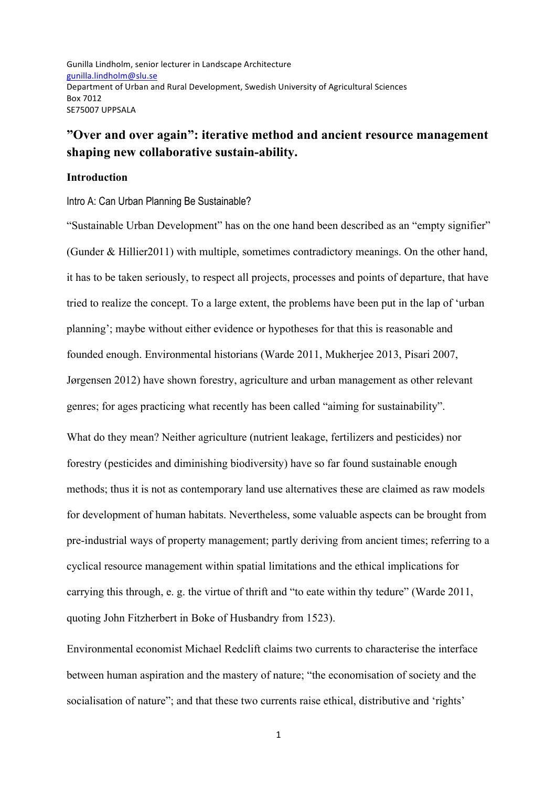Gunilla Lindholm, senior lecturer in Landscape Architecture gunilla.lindholm@slu.se Department of Urban and Rural Development, Swedish University of Agricultural Sciences Box 7012 SE75007 UPPSALA

# **"Over and over again": iterative method and ancient resource management shaping new collaborative sustain-ability.**

#### **Introduction**

Intro A: Can Urban Planning Be Sustainable?

"Sustainable Urban Development" has on the one hand been described as an "empty signifier" (Gunder & Hillier2011) with multiple, sometimes contradictory meanings. On the other hand, it has to be taken seriously, to respect all projects, processes and points of departure, that have tried to realize the concept. To a large extent, the problems have been put in the lap of 'urban planning'; maybe without either evidence or hypotheses for that this is reasonable and founded enough. Environmental historians (Warde 2011, Mukherjee 2013, Pisari 2007, Jørgensen 2012) have shown forestry, agriculture and urban management as other relevant genres; for ages practicing what recently has been called "aiming for sustainability". What do they mean? Neither agriculture (nutrient leakage, fertilizers and pesticides) nor

forestry (pesticides and diminishing biodiversity) have so far found sustainable enough methods; thus it is not as contemporary land use alternatives these are claimed as raw models for development of human habitats. Nevertheless, some valuable aspects can be brought from pre-industrial ways of property management; partly deriving from ancient times; referring to a cyclical resource management within spatial limitations and the ethical implications for carrying this through, e. g. the virtue of thrift and "to eate within thy tedure" (Warde 2011, quoting John Fitzherbert in Boke of Husbandry from 1523).

Environmental economist Michael Redclift claims two currents to characterise the interface between human aspiration and the mastery of nature; "the economisation of society and the socialisation of nature"; and that these two currents raise ethical, distributive and 'rights'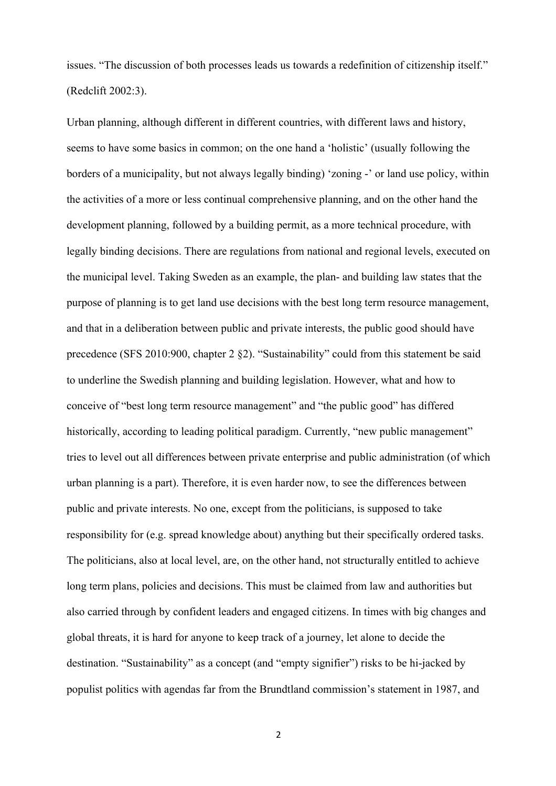issues. "The discussion of both processes leads us towards a redefinition of citizenship itself." (Redclift 2002:3).

Urban planning, although different in different countries, with different laws and history, seems to have some basics in common; on the one hand a 'holistic' (usually following the borders of a municipality, but not always legally binding) 'zoning -' or land use policy, within the activities of a more or less continual comprehensive planning, and on the other hand the development planning, followed by a building permit, as a more technical procedure, with legally binding decisions. There are regulations from national and regional levels, executed on the municipal level. Taking Sweden as an example, the plan- and building law states that the purpose of planning is to get land use decisions with the best long term resource management, and that in a deliberation between public and private interests, the public good should have precedence (SFS 2010:900, chapter 2 §2). "Sustainability" could from this statement be said to underline the Swedish planning and building legislation. However, what and how to conceive of "best long term resource management" and "the public good" has differed historically, according to leading political paradigm. Currently, "new public management" tries to level out all differences between private enterprise and public administration (of which urban planning is a part). Therefore, it is even harder now, to see the differences between public and private interests. No one, except from the politicians, is supposed to take responsibility for (e.g. spread knowledge about) anything but their specifically ordered tasks. The politicians, also at local level, are, on the other hand, not structurally entitled to achieve long term plans, policies and decisions. This must be claimed from law and authorities but also carried through by confident leaders and engaged citizens. In times with big changes and global threats, it is hard for anyone to keep track of a journey, let alone to decide the destination. "Sustainability" as a concept (and "empty signifier") risks to be hi-jacked by populist politics with agendas far from the Brundtland commission's statement in 1987, and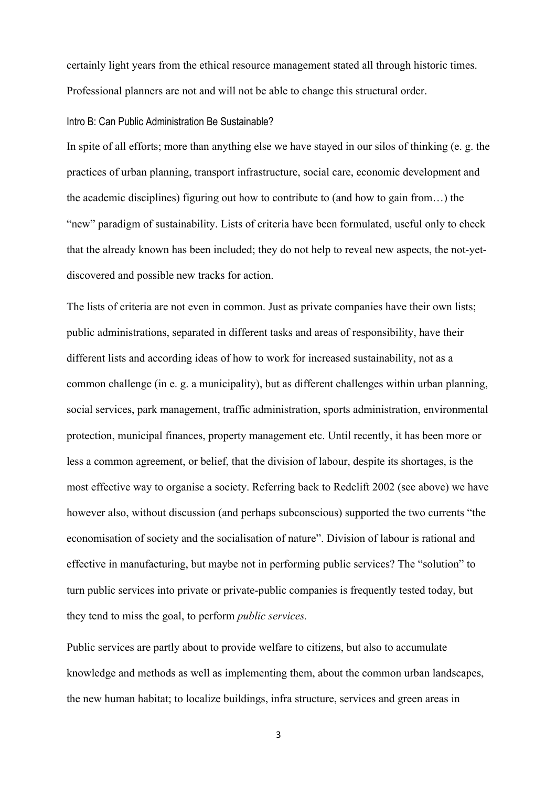certainly light years from the ethical resource management stated all through historic times. Professional planners are not and will not be able to change this structural order.

## Intro B: Can Public Administration Be Sustainable?

In spite of all efforts; more than anything else we have stayed in our silos of thinking (e. g. the practices of urban planning, transport infrastructure, social care, economic development and the academic disciplines) figuring out how to contribute to (and how to gain from…) the "new" paradigm of sustainability. Lists of criteria have been formulated, useful only to check that the already known has been included; they do not help to reveal new aspects, the not-yetdiscovered and possible new tracks for action.

The lists of criteria are not even in common. Just as private companies have their own lists; public administrations, separated in different tasks and areas of responsibility, have their different lists and according ideas of how to work for increased sustainability, not as a common challenge (in e. g. a municipality), but as different challenges within urban planning, social services, park management, traffic administration, sports administration, environmental protection, municipal finances, property management etc. Until recently, it has been more or less a common agreement, or belief, that the division of labour, despite its shortages, is the most effective way to organise a society. Referring back to Redclift 2002 (see above) we have however also, without discussion (and perhaps subconscious) supported the two currents "the economisation of society and the socialisation of nature". Division of labour is rational and effective in manufacturing, but maybe not in performing public services? The "solution" to turn public services into private or private-public companies is frequently tested today, but they tend to miss the goal, to perform *public services.*

Public services are partly about to provide welfare to citizens, but also to accumulate knowledge and methods as well as implementing them, about the common urban landscapes, the new human habitat; to localize buildings, infra structure, services and green areas in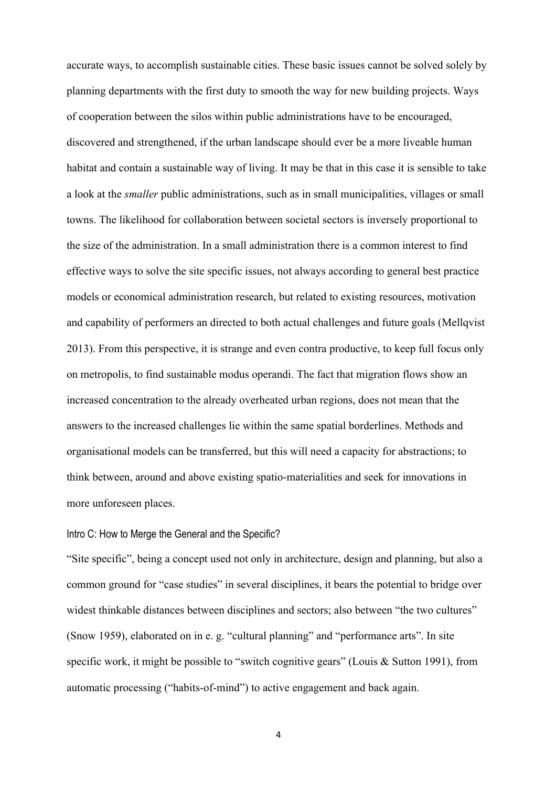accurate ways, to accomplish sustainable cities. These basic issues cannot be solved solely by planning departments with the first duty to smooth the way for new building projects. Ways of cooperation between the silos within public administrations have to be encouraged, discovered and strengthened, if the urban landscape should ever be a more liveable human habitat and contain a sustainable way of living. It may be that in this case it is sensible to take a look at the *smaller* public administrations, such as in small municipalities, villages or small towns. The likelihood for collaboration between societal sectors is inversely proportional to the size of the administration. In a small administration there is a common interest to find effective ways to solve the site specific issues, not always according to general best practice models or economical administration research, but related to existing resources, motivation and capability of performers an directed to both actual challenges and future goals (Mellqvist 2013). From this perspective, it is strange and even contra productive, to keep full focus only on metropolis, to find sustainable modus operandi. The fact that migration flows show an increased concentration to the already overheated urban regions, does not mean that the answers to the increased challenges lie within the same spatial borderlines. Methods and organisational models can be transferred, but this will need a capacity for abstractions; to think between, around and above existing spatio-materialities and seek for innovations in more unforeseen places.

## Intro C: How to Merge the General and the Specific?

"Site specific", being a concept used not only in architecture, design and planning, but also a common ground for "case studies" in several disciplines, it bears the potential to bridge over widest thinkable distances between disciplines and sectors; also between "the two cultures" (Snow 1959), elaborated on in e. g. "cultural planning" and "performance arts". In site specific work, it might be possible to "switch cognitive gears" (Louis & Sutton 1991), from automatic processing ("habits-of-mind") to active engagement and back again.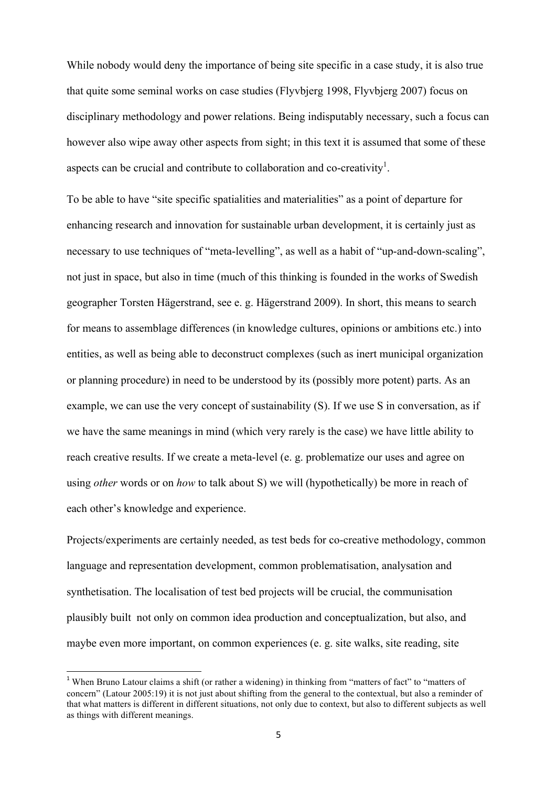While nobody would deny the importance of being site specific in a case study, it is also true that quite some seminal works on case studies (Flyvbjerg 1998, Flyvbjerg 2007) focus on disciplinary methodology and power relations. Being indisputably necessary, such a focus can however also wipe away other aspects from sight; in this text it is assumed that some of these aspects can be crucial and contribute to collaboration and co-creativity<sup>1</sup>.

To be able to have "site specific spatialities and materialities" as a point of departure for enhancing research and innovation for sustainable urban development, it is certainly just as necessary to use techniques of "meta-levelling", as well as a habit of "up-and-down-scaling", not just in space, but also in time (much of this thinking is founded in the works of Swedish geographer Torsten Hägerstrand, see e. g. Hägerstrand 2009). In short, this means to search for means to assemblage differences (in knowledge cultures, opinions or ambitions etc.) into entities, as well as being able to deconstruct complexes (such as inert municipal organization or planning procedure) in need to be understood by its (possibly more potent) parts. As an example, we can use the very concept of sustainability (S). If we use S in conversation, as if we have the same meanings in mind (which very rarely is the case) we have little ability to reach creative results. If we create a meta-level (e. g. problematize our uses and agree on using *other* words or on *how* to talk about S) we will (hypothetically) be more in reach of each other's knowledge and experience.

Projects/experiments are certainly needed, as test beds for co-creative methodology, common language and representation development, common problematisation, analysation and synthetisation. The localisation of test bed projects will be crucial, the communisation plausibly built not only on common idea production and conceptualization, but also, and maybe even more important, on common experiences (e. g. site walks, site reading, site

<u> 1989 - Johann Barn, mars ann an t-Amhain an t-Amhain an t-Amhain an t-Amhain an t-Amhain an t-Amhain an t-Amh</u>

<sup>&</sup>lt;sup>1</sup> When Bruno Latour claims a shift (or rather a widening) in thinking from "matters of fact" to "matters of concern" (Latour 2005:19) it is not just about shifting from the general to the contextual, but also a reminder of that what matters is different in different situations, not only due to context, but also to different subjects as well as things with different meanings.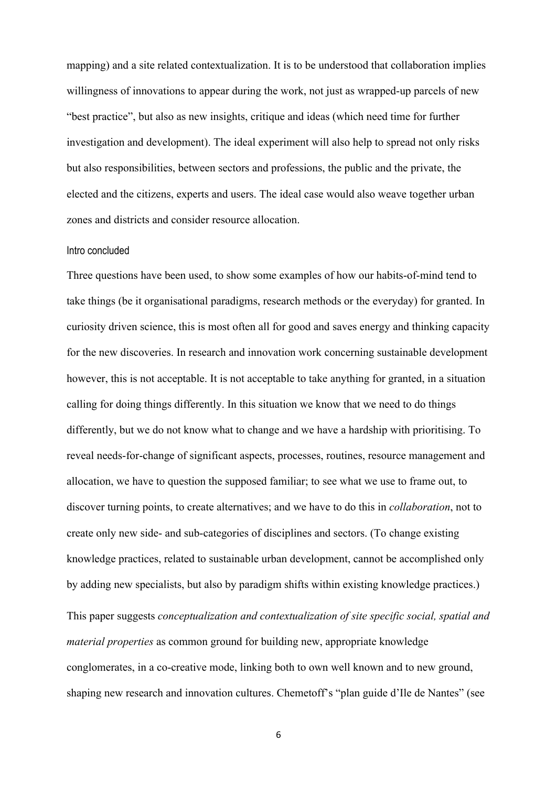mapping) and a site related contextualization. It is to be understood that collaboration implies willingness of innovations to appear during the work, not just as wrapped-up parcels of new "best practice", but also as new insights, critique and ideas (which need time for further investigation and development). The ideal experiment will also help to spread not only risks but also responsibilities, between sectors and professions, the public and the private, the elected and the citizens, experts and users. The ideal case would also weave together urban zones and districts and consider resource allocation.

### Intro concluded

Three questions have been used, to show some examples of how our habits-of-mind tend to take things (be it organisational paradigms, research methods or the everyday) for granted. In curiosity driven science, this is most often all for good and saves energy and thinking capacity for the new discoveries. In research and innovation work concerning sustainable development however, this is not acceptable. It is not acceptable to take anything for granted, in a situation calling for doing things differently. In this situation we know that we need to do things differently, but we do not know what to change and we have a hardship with prioritising. To reveal needs-for-change of significant aspects, processes, routines, resource management and allocation, we have to question the supposed familiar; to see what we use to frame out, to discover turning points, to create alternatives; and we have to do this in *collaboration*, not to create only new side- and sub-categories of disciplines and sectors. (To change existing knowledge practices, related to sustainable urban development, cannot be accomplished only by adding new specialists, but also by paradigm shifts within existing knowledge practices.) This paper suggests *conceptualization and contextualization of site specific social, spatial and material properties* as common ground for building new, appropriate knowledge conglomerates, in a co-creative mode, linking both to own well known and to new ground, shaping new research and innovation cultures. Chemetoff's "plan guide d'Ile de Nantes" (see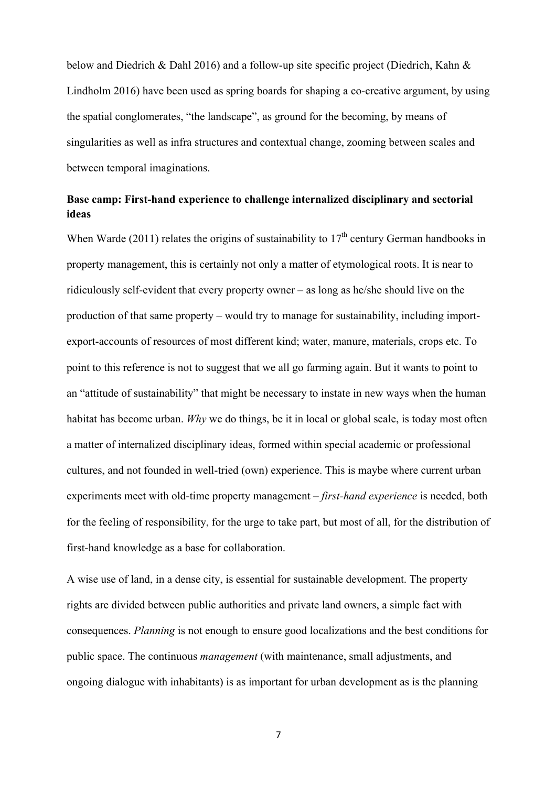below and Diedrich & Dahl 2016) and a follow-up site specific project (Diedrich, Kahn & Lindholm 2016) have been used as spring boards for shaping a co-creative argument, by using the spatial conglomerates, "the landscape", as ground for the becoming, by means of singularities as well as infra structures and contextual change, zooming between scales and between temporal imaginations.

# **Base camp: First-hand experience to challenge internalized disciplinary and sectorial ideas**

When Warde (2011) relates the origins of sustainability to  $17<sup>th</sup>$  century German handbooks in property management, this is certainly not only a matter of etymological roots. It is near to ridiculously self-evident that every property owner – as long as he/she should live on the production of that same property – would try to manage for sustainability, including importexport-accounts of resources of most different kind; water, manure, materials, crops etc. To point to this reference is not to suggest that we all go farming again. But it wants to point to an "attitude of sustainability" that might be necessary to instate in new ways when the human habitat has become urban. *Why* we do things, be it in local or global scale, is today most often a matter of internalized disciplinary ideas, formed within special academic or professional cultures, and not founded in well-tried (own) experience. This is maybe where current urban experiments meet with old-time property management – *first-hand experience* is needed, both for the feeling of responsibility, for the urge to take part, but most of all, for the distribution of first-hand knowledge as a base for collaboration.

A wise use of land, in a dense city, is essential for sustainable development. The property rights are divided between public authorities and private land owners, a simple fact with consequences. *Planning* is not enough to ensure good localizations and the best conditions for public space. The continuous *management* (with maintenance, small adjustments, and ongoing dialogue with inhabitants) is as important for urban development as is the planning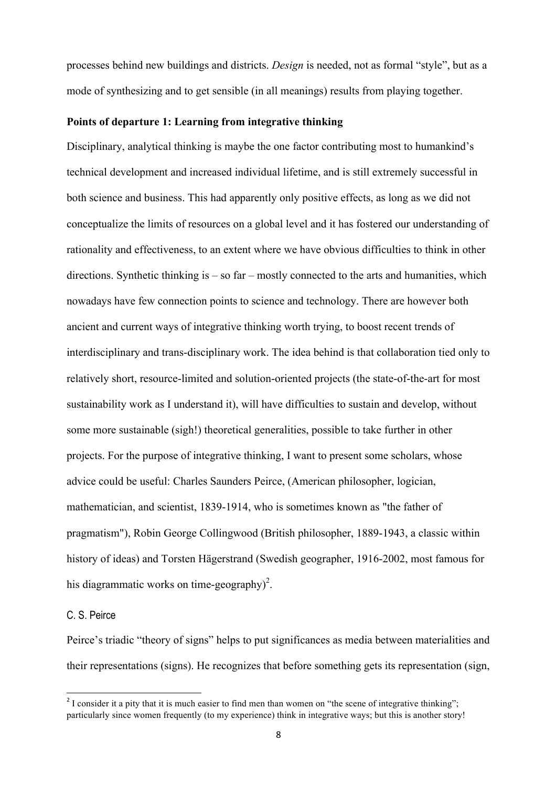processes behind new buildings and districts. *Design* is needed, not as formal "style", but as a mode of synthesizing and to get sensible (in all meanings) results from playing together.

# **Points of departure 1: Learning from integrative thinking**

Disciplinary, analytical thinking is maybe the one factor contributing most to humankind's technical development and increased individual lifetime, and is still extremely successful in both science and business. This had apparently only positive effects, as long as we did not conceptualize the limits of resources on a global level and it has fostered our understanding of rationality and effectiveness, to an extent where we have obvious difficulties to think in other directions. Synthetic thinking is  $-$  so far  $-$  mostly connected to the arts and humanities, which nowadays have few connection points to science and technology. There are however both ancient and current ways of integrative thinking worth trying, to boost recent trends of interdisciplinary and trans-disciplinary work. The idea behind is that collaboration tied only to relatively short, resource-limited and solution-oriented projects (the state-of-the-art for most sustainability work as I understand it), will have difficulties to sustain and develop, without some more sustainable (sigh!) theoretical generalities, possible to take further in other projects. For the purpose of integrative thinking, I want to present some scholars, whose advice could be useful: Charles Saunders Peirce, (American philosopher, logician, mathematician, and scientist, 1839-1914, who is sometimes known as "the father of pragmatism"), Robin George Collingwood (British philosopher, 1889-1943, a classic within history of ideas) and Torsten Hägerstrand (Swedish geographer, 1916-2002, most famous for his diagrammatic works on time-geography)<sup>2</sup>.

### C. S. Peirce

 

Peirce's triadic "theory of signs" helps to put significances as media between materialities and their representations (signs). He recognizes that before something gets its representation (sign,

<sup>&</sup>lt;sup>2</sup> I consider it a pity that it is much easier to find men than women on "the scene of integrative thinking"; particularly since women frequently (to my experience) think in integrative ways; but this is another story!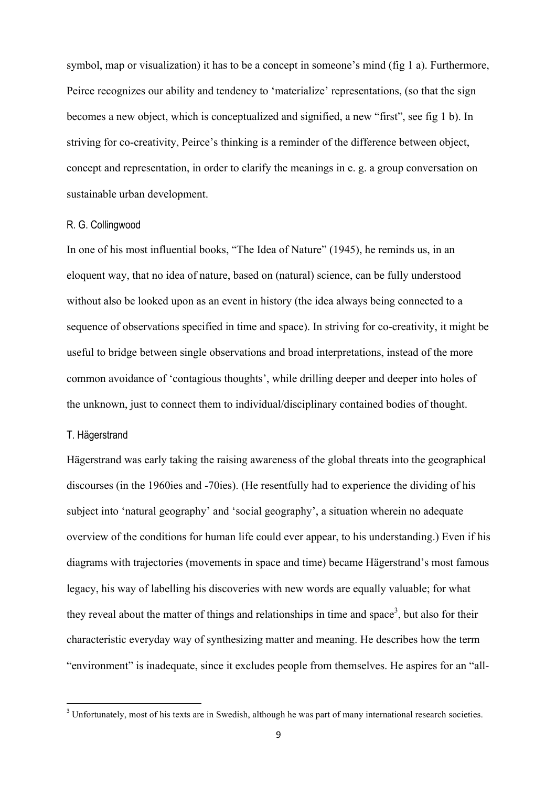symbol, map or visualization) it has to be a concept in someone's mind (fig 1 a). Furthermore, Peirce recognizes our ability and tendency to 'materialize' representations, (so that the sign becomes a new object, which is conceptualized and signified, a new "first", see fig 1 b). In striving for co-creativity, Peirce's thinking is a reminder of the difference between object, concept and representation, in order to clarify the meanings in e. g. a group conversation on sustainable urban development.

## R. G. Collingwood

In one of his most influential books, "The Idea of Nature" (1945), he reminds us, in an eloquent way, that no idea of nature, based on (natural) science, can be fully understood without also be looked upon as an event in history (the idea always being connected to a sequence of observations specified in time and space). In striving for co-creativity, it might be useful to bridge between single observations and broad interpretations, instead of the more common avoidance of 'contagious thoughts', while drilling deeper and deeper into holes of the unknown, just to connect them to individual/disciplinary contained bodies of thought.

# T. Hägerstrand

<u> 1989 - Johann Barn, mars ann an t-Amhain an t-Amhain an t-Amhain an t-Amhain an t-Amhain an t-Amhain an t-Amh</u>

Hägerstrand was early taking the raising awareness of the global threats into the geographical discourses (in the 1960ies and -70ies). (He resentfully had to experience the dividing of his subject into 'natural geography' and 'social geography', a situation wherein no adequate overview of the conditions for human life could ever appear, to his understanding.) Even if his diagrams with trajectories (movements in space and time) became Hägerstrand's most famous legacy, his way of labelling his discoveries with new words are equally valuable; for what they reveal about the matter of things and relationships in time and space<sup>3</sup>, but also for their characteristic everyday way of synthesizing matter and meaning. He describes how the term "environment" is inadequate, since it excludes people from themselves. He aspires for an "all-

 $3$  Unfortunately, most of his texts are in Swedish, although he was part of many international research societies.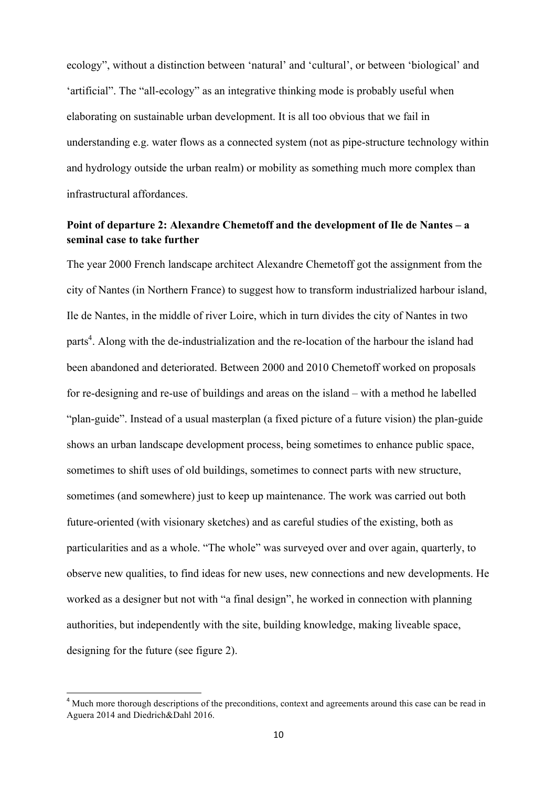ecology", without a distinction between 'natural' and 'cultural', or between 'biological' and 'artificial". The "all-ecology" as an integrative thinking mode is probably useful when elaborating on sustainable urban development. It is all too obvious that we fail in understanding e.g. water flows as a connected system (not as pipe-structure technology within and hydrology outside the urban realm) or mobility as something much more complex than infrastructural affordances.

# **Point of departure 2: Alexandre Chemetoff and the development of Ile de Nantes – a seminal case to take further**

The year 2000 French landscape architect Alexandre Chemetoff got the assignment from the city of Nantes (in Northern France) to suggest how to transform industrialized harbour island, Ile de Nantes, in the middle of river Loire, which in turn divides the city of Nantes in two parts<sup>4</sup>. Along with the de-industrialization and the re-location of the harbour the island had been abandoned and deteriorated. Between 2000 and 2010 Chemetoff worked on proposals for re-designing and re-use of buildings and areas on the island – with a method he labelled "plan-guide". Instead of a usual masterplan (a fixed picture of a future vision) the plan-guide shows an urban landscape development process, being sometimes to enhance public space, sometimes to shift uses of old buildings, sometimes to connect parts with new structure, sometimes (and somewhere) just to keep up maintenance. The work was carried out both future-oriented (with visionary sketches) and as careful studies of the existing, both as particularities and as a whole. "The whole" was surveyed over and over again, quarterly, to observe new qualities, to find ideas for new uses, new connections and new developments. He worked as a designer but not with "a final design", he worked in connection with planning authorities, but independently with the site, building knowledge, making liveable space, designing for the future (see figure 2).

<sup>&</sup>lt;sup>4</sup> Much more thorough descriptions of the preconditions, context and agreements around this case can be read in Aguera 2014 and Diedrich&Dahl 2016.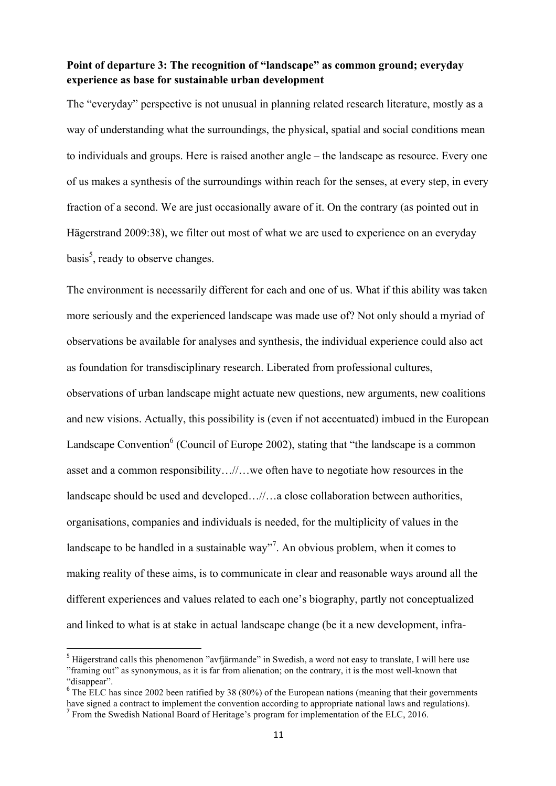# **Point of departure 3: The recognition of "landscape" as common ground; everyday experience as base for sustainable urban development**

The "everyday" perspective is not unusual in planning related research literature, mostly as a way of understanding what the surroundings, the physical, spatial and social conditions mean to individuals and groups. Here is raised another angle – the landscape as resource. Every one of us makes a synthesis of the surroundings within reach for the senses, at every step, in every fraction of a second. We are just occasionally aware of it. On the contrary (as pointed out in Hägerstrand 2009:38), we filter out most of what we are used to experience on an everyday basis<sup>5</sup>, ready to observe changes.

The environment is necessarily different for each and one of us. What if this ability was taken more seriously and the experienced landscape was made use of? Not only should a myriad of observations be available for analyses and synthesis, the individual experience could also act as foundation for transdisciplinary research. Liberated from professional cultures,

observations of urban landscape might actuate new questions, new arguments, new coalitions and new visions. Actually, this possibility is (even if not accentuated) imbued in the European Landscape Convention $6$  (Council of Europe 2002), stating that "the landscape is a common asset and a common responsibility…//…we often have to negotiate how resources in the landscape should be used and developed…//…a close collaboration between authorities, organisations, companies and individuals is needed, for the multiplicity of values in the landscape to be handled in a sustainable way"<sup>7</sup>. An obvious problem, when it comes to making reality of these aims, is to communicate in clear and reasonable ways around all the different experiences and values related to each one's biography, partly not conceptualized and linked to what is at stake in actual landscape change (be it a new development, infra-

<u> 1989 - Johann Barn, mars ann an t-Amhain an t-Amhain an t-Amhain an t-Amhain an t-Amhain an t-Amhain an t-Amh</u>

<sup>&</sup>lt;sup>5</sup> Hägerstrand calls this phenomenon "avfjärmande" in Swedish, a word not easy to translate, I will here use "framing out" as synonymous, as it is far from alienation; on the contrary, it is the most well-known that "disappear".

<sup>&</sup>lt;sup>6</sup> The ELC has since 2002 been ratified by 38 (80%) of the European nations (meaning that their governments have signed a contract to implement the convention according to appropriate national laws and regulations). <sup>7</sup> From the Swedish National Board of Heritage's program for implementation of the ELC, 2016.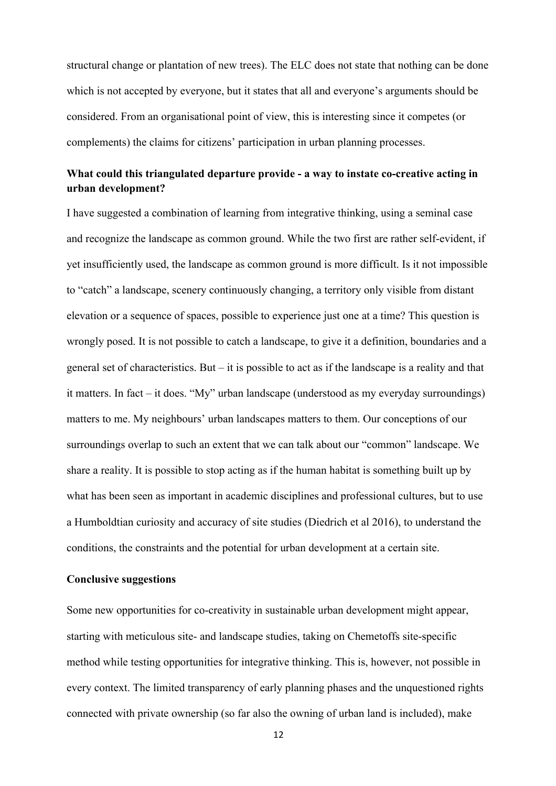structural change or plantation of new trees). The ELC does not state that nothing can be done which is not accepted by everyone, but it states that all and everyone's arguments should be considered. From an organisational point of view, this is interesting since it competes (or complements) the claims for citizens' participation in urban planning processes.

# **What could this triangulated departure provide - a way to instate co-creative acting in urban development?**

I have suggested a combination of learning from integrative thinking, using a seminal case and recognize the landscape as common ground. While the two first are rather self-evident, if yet insufficiently used, the landscape as common ground is more difficult. Is it not impossible to "catch" a landscape, scenery continuously changing, a territory only visible from distant elevation or a sequence of spaces, possible to experience just one at a time? This question is wrongly posed. It is not possible to catch a landscape, to give it a definition, boundaries and a general set of characteristics. But – it is possible to act as if the landscape is a reality and that it matters. In fact – it does. "My" urban landscape (understood as my everyday surroundings) matters to me. My neighbours' urban landscapes matters to them. Our conceptions of our surroundings overlap to such an extent that we can talk about our "common" landscape. We share a reality. It is possible to stop acting as if the human habitat is something built up by what has been seen as important in academic disciplines and professional cultures, but to use a Humboldtian curiosity and accuracy of site studies (Diedrich et al 2016), to understand the conditions, the constraints and the potential for urban development at a certain site.

## **Conclusive suggestions**

Some new opportunities for co-creativity in sustainable urban development might appear, starting with meticulous site- and landscape studies, taking on Chemetoffs site-specific method while testing opportunities for integrative thinking. This is, however, not possible in every context. The limited transparency of early planning phases and the unquestioned rights connected with private ownership (so far also the owning of urban land is included), make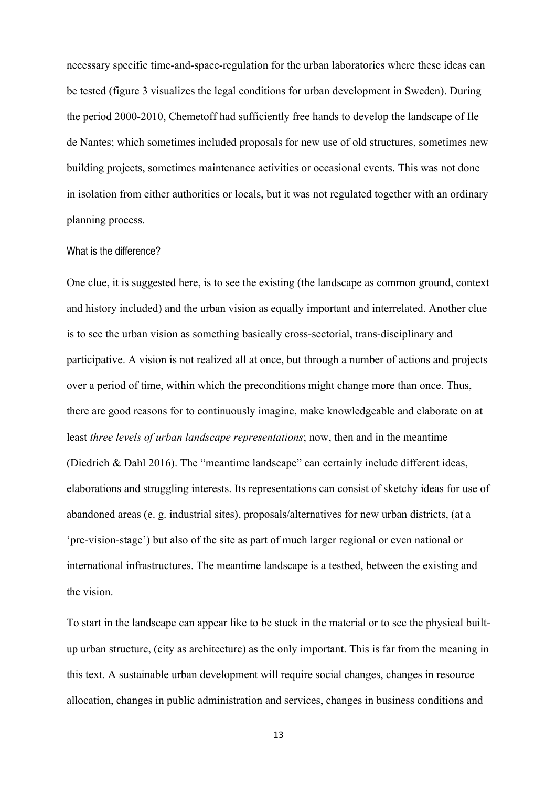necessary specific time-and-space-regulation for the urban laboratories where these ideas can be tested (figure 3 visualizes the legal conditions for urban development in Sweden). During the period 2000-2010, Chemetoff had sufficiently free hands to develop the landscape of Ile de Nantes; which sometimes included proposals for new use of old structures, sometimes new building projects, sometimes maintenance activities or occasional events. This was not done in isolation from either authorities or locals, but it was not regulated together with an ordinary planning process.

## What is the difference?

One clue, it is suggested here, is to see the existing (the landscape as common ground, context and history included) and the urban vision as equally important and interrelated. Another clue is to see the urban vision as something basically cross-sectorial, trans-disciplinary and participative. A vision is not realized all at once, but through a number of actions and projects over a period of time, within which the preconditions might change more than once. Thus, there are good reasons for to continuously imagine, make knowledgeable and elaborate on at least *three levels of urban landscape representations*; now, then and in the meantime (Diedrich & Dahl 2016). The "meantime landscape" can certainly include different ideas, elaborations and struggling interests. Its representations can consist of sketchy ideas for use of abandoned areas (e. g. industrial sites), proposals/alternatives for new urban districts, (at a 'pre-vision-stage') but also of the site as part of much larger regional or even national or international infrastructures. The meantime landscape is a testbed, between the existing and the vision.

To start in the landscape can appear like to be stuck in the material or to see the physical builtup urban structure, (city as architecture) as the only important. This is far from the meaning in this text. A sustainable urban development will require social changes, changes in resource allocation, changes in public administration and services, changes in business conditions and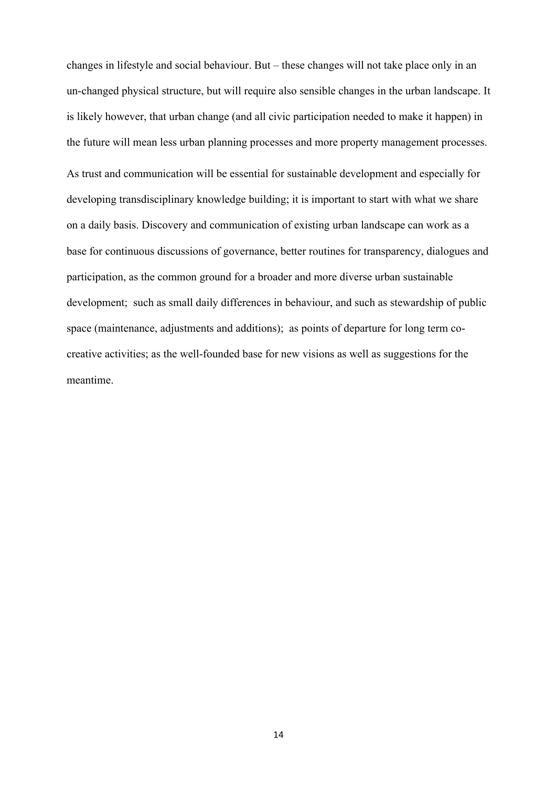changes in lifestyle and social behaviour. But – these changes will not take place only in an un-changed physical structure, but will require also sensible changes in the urban landscape. It is likely however, that urban change (and all civic participation needed to make it happen) in the future will mean less urban planning processes and more property management processes. As trust and communication will be essential for sustainable development and especially for developing transdisciplinary knowledge building; it is important to start with what we share on a daily basis. Discovery and communication of existing urban landscape can work as a base for continuous discussions of governance, better routines for transparency, dialogues and participation, as the common ground for a broader and more diverse urban sustainable development; such as small daily differences in behaviour, and such as stewardship of public space (maintenance, adjustments and additions); as points of departure for long term cocreative activities; as the well-founded base for new visions as well as suggestions for the meantime.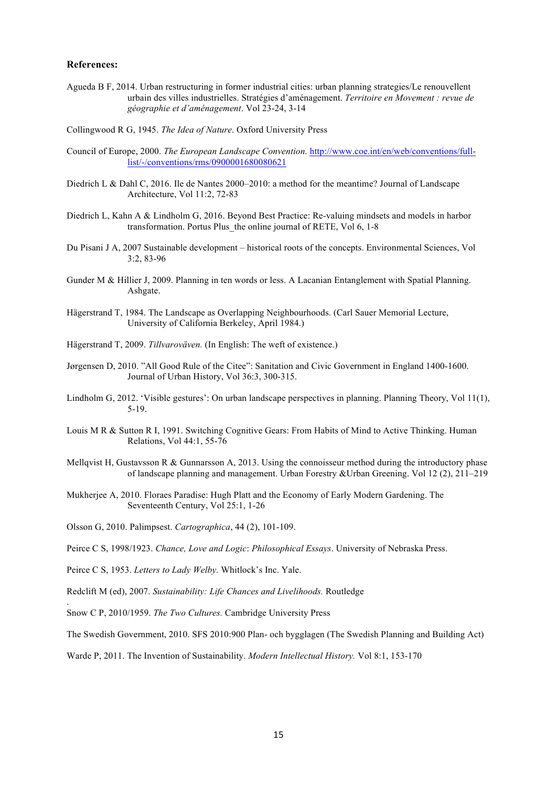#### **References:**

Agueda B F, 2014. Urban restructuring in former industrial cities: urban planning strategies/Le renouvellent urbain des villes industrielles. Stratégies d'aménagement. *Territoire en Movement : revue de géographie et d'aménagement*. Vol 23-24, 3-14

Collingwood R G, 1945. *The Idea of Nature*. Oxford University Press

- Council of Europe, 2000. *The European Landscape Convention.* http://www.coe.int/en/web/conventions/fulllist/-/conventions/rms/0900001680080621
- Diedrich L & Dahl C, 2016. Ile de Nantes 2000–2010: a method for the meantime? Journal of Landscape Architecture, Vol 11:2, 72-83
- Diedrich L, Kahn A & Lindholm G, 2016. Beyond Best Practice: Re-valuing mindsets and models in harbor transformation. Portus Plus the online journal of RETE, Vol 6, 1-8
- Du Pisani J A, 2007 Sustainable development historical roots of the concepts. Environmental Sciences, Vol 3:2, 83-96
- Gunder M & Hillier J, 2009. Planning in ten words or less. A Lacanian Entanglement with Spatial Planning. Ashgate.
- Hägerstrand T, 1984. The Landscape as Overlapping Neighbourhoods. (Carl Sauer Memorial Lecture, University of California Berkeley, April 1984.)
- Hägerstrand T, 2009. *Tillvaroväven.* (In English: The weft of existence.)
- Jørgensen D, 2010. "All Good Rule of the Citee": Sanitation and Civic Government in England 1400-1600. Journal of Urban History, Vol 36:3, 300-315.
- Lindholm G, 2012. 'Visible gestures': On urban landscape perspectives in planning. Planning Theory, Vol 11(1), 5-19.
- Louis M R & Sutton R I, 1991. Switching Cognitive Gears: From Habits of Mind to Active Thinking. Human Relations, Vol 44:1, 55-76
- Mellqvist H, Gustavsson R  $\&$  Gunnarsson A, 2013. Using the connoisseur method during the introductory phase of landscape planning and management. Urban Forestry &Urban Greening. Vol 12 (2), 211–219
- Mukherjee A, 2010. Floraes Paradise: Hugh Platt and the Economy of Early Modern Gardening. The Seventeenth Century, Vol 25:1, 1-26
- Olsson G, 2010. Palimpsest. *Cartographica*, 44 (2), 101-109.

Peirce C S, 1998/1923. *Chance, Love and Logic*: *Philosophical Essays*. University of Nebraska Press.

Peirce C S, 1953. *Letters to Lady Welby.* Whitlock's Inc. Yale.

.

- Redclift M (ed), 2007. *Sustainability: Life Chances and Livelihoods.* Routledge
- Snow C P, 2010/1959. *The Two Cultures.* Cambridge University Press

The Swedish Government, 2010. SFS 2010:900 Plan- och bygglagen (The Swedish Planning and Building Act)

Warde P, 2011. The Invention of Sustainability. *Modern Intellectual History.* Vol 8:1, 153-170